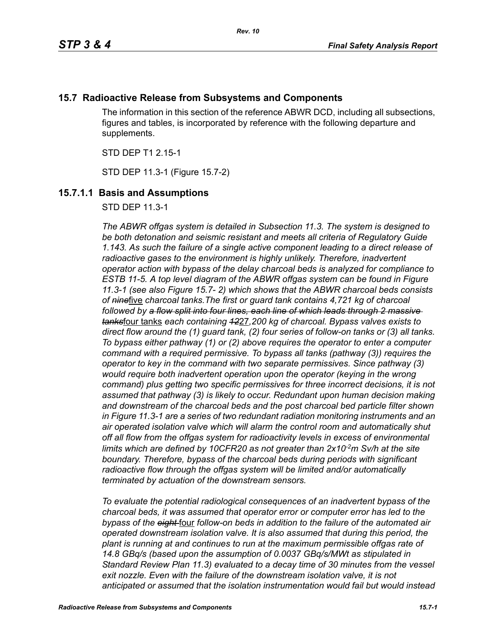## **15.7 Radioactive Release from Subsystems and Components**

The information in this section of the reference ABWR DCD, including all subsections, figures and tables, is incorporated by reference with the following departure and supplements.

STD DEP T1 2.15-1

STD DEP 11.3-1 (Figure 15.7-2)

# **15.7.1.1 Basis and Assumptions**

STD DEP 11.3-1

*The ABWR offgas system is detailed in Subsection 11.3. The system is designed to be both detonation and seismic resistant and meets all criteria of Regulatory Guide 1.143. As such the failure of a single active component leading to a direct release of radioactive gases to the environment is highly unlikely. Therefore, inadvertent operator action with bypass of the delay charcoal beds is analyzed for compliance to ESTB 11-5. A top level diagram of the ABWR offgas system can be found in Figure 11.3-1 (see also Figure 15.7- 2) which shows that the ABWR charcoal beds consists of nine*five *charcoal tanks.The first or guard tank contains 4,721 kg of charcoal followed by a flow split into four lines, each line of which leads through 2 massive tanks*four tanks *each containing 12*27*,200 kg of charcoal. Bypass valves exists to direct flow around the (1) guard tank, (2) four series of follow-on tanks or (3) all tanks. To bypass either pathway (1) or (2) above requires the operator to enter a computer command with a required permissive. To bypass all tanks (pathway (3)) requires the operator to key in the command with two separate permissives. Since pathway (3) would require both inadvertent operation upon the operator (keying in the wrong command) plus getting two specific permissives for three incorrect decisions, it is not assumed that pathway (3) is likely to occur. Redundant upon human decision making and downstream of the charcoal beds and the post charcoal bed particle filter shown in Figure 11.3-1 are a series of two redundant radiation monitoring instruments and an air operated isolation valve which will alarm the control room and automatically shut off all flow from the offgas system for radioactivity levels in excess of environmental*  limits which are defined by 10CFR20 as not greater than 2x10<sup>-2</sup>m Sv/h at the site *boundary. Therefore, bypass of the charcoal beds during periods with significant radioactive flow through the offgas system will be limited and/or automatically terminated by actuation of the downstream sensors.* 

*To evaluate the potential radiological consequences of an inadvertent bypass of the charcoal beds, it was assumed that operator error or computer error has led to the bypass of the eight* four *follow-on beds in addition to the failure of the automated air operated downstream isolation valve. It is also assumed that during this period, the plant is running at and continues to run at the maximum permissible offgas rate of 14.8 GBq/s (based upon the assumption of 0.0037 GBq/s/MWt as stipulated in Standard Review Plan 11.3) evaluated to a decay time of 30 minutes from the vessel*  exit nozzle. Even with the failure of the downstream isolation valve, it is not *anticipated or assumed that the isolation instrumentation would fail but would instead*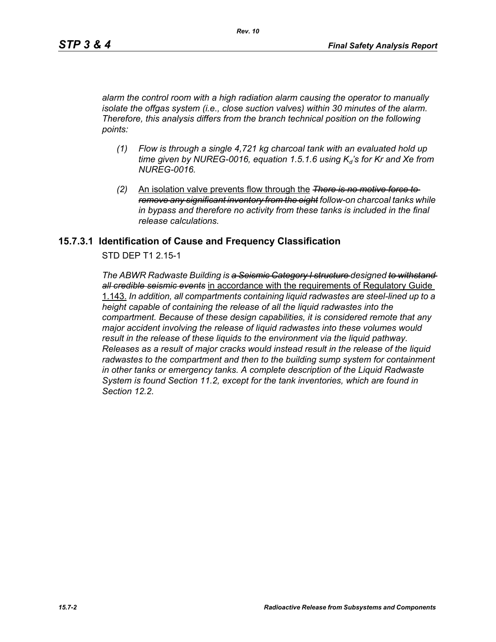*alarm the control room with a high radiation alarm causing the operator to manually isolate the offgas system (i.e., close suction valves) within 30 minutes of the alarm. Therefore, this analysis differs from the branch technical position on the following points:*

- *(1) Flow is through a single 4,721 kg charcoal tank with an evaluated hold up*   $time$  given by NUREG-0016, equation 1.5.1.6 using  $K_d$ 's for Kr and Xe from *NUREG-0016.*
- *(2)* An isolation valve prevents flow through the *There is no motive force to remove any significant inventory from the eight follow-on charcoal tanks while in bypass and therefore no activity from these tanks is included in the final release calculations.*

### **15.7.3.1 Identification of Cause and Frequency Classification**

STD DEP T1 2.15-1

*The ABWR Radwaste Building is a Seismic Category I structure designed to withstand all credible seismic events* in accordance with the requirements of Regulatory Guide 1.143. *In addition, all compartments containing liquid radwastes are steel-lined up to a height capable of containing the release of all the liquid radwastes into the compartment. Because of these design capabilities, it is considered remote that any major accident involving the release of liquid radwastes into these volumes would result in the release of these liquids to the environment via the liquid pathway. Releases as a result of major cracks would instead result in the release of the liquid radwastes to the compartment and then to the building sump system for containment in other tanks or emergency tanks. A complete description of the Liquid Radwaste System is found Section 11.2, except for the tank inventories, which are found in Section 12.2.*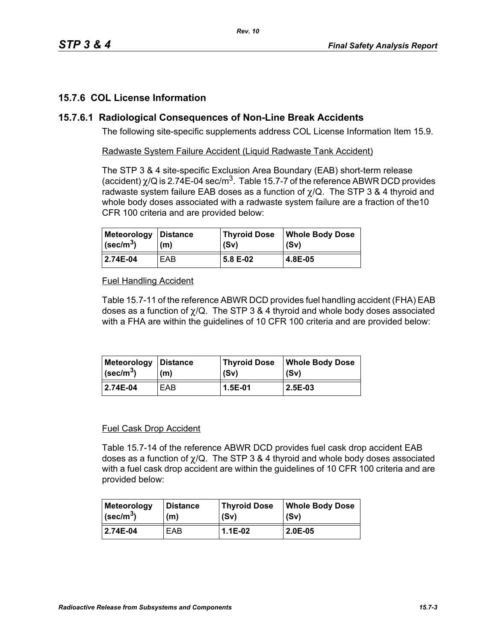# **15.7.6 COL License Information**

# **15.7.6.1 Radiological Consequences of Non-Line Break Accidents**

The following site-specific supplements address COL License Information Item 15.9.

Radwaste System Failure Accident (Liquid Radwaste Tank Accident)

The STP 3 & 4 site-specific Exclusion Area Boundary (EAB) short-term release (accident)  $\chi$ /Q is 2.74E-04 sec/m<sup>3</sup>. Table 15.7-7 of the reference ABWR DCD provides radwaste system failure EAB doses as a function of  $\chi$ /Q. The STP 3 & 4 thyroid and whole body doses associated with a radwaste system failure are a fraction of the10 CFR 100 criteria and are provided below:

| Meteorology Distance          | (m) | <b>Thyroid Dose</b> | <b>Whole Body Dose</b> |
|-------------------------------|-----|---------------------|------------------------|
| $\vert$ (sec/m <sup>3</sup> ) |     | (Sv)                | (Sv)                   |
| 2.74E-04                      | EAB | 5.8 E-02            | 4.8E-05                |

### Fuel Handling Accident

Table 15.7-11 of the reference ABWR DCD provides fuel handling accident (FHA) EAB doses as a function of  $\chi$ /Q. The STP 3 & 4 thyroid and whole body doses associated with a FHA are within the guidelines of 10 CFR 100 criteria and are provided below:

| Meteorology   Distance  | (m) | Thyroid Dose | <b>Whole Body Dose</b> |
|-------------------------|-----|--------------|------------------------|
| $\sqrt{\text{sec/m}^3}$ |     | (Sv)         | (Sv)                   |
| 2.74E-04                | EAB | 1.5E-01      | 2.5E-03                |

#### Fuel Cask Drop Accident

Table 15.7-14 of the reference ABWR DCD provides fuel cask drop accident EAB doses as a function of  $\chi$ /Q. The STP 3 & 4 thyroid and whole body doses associated with a fuel cask drop accident are within the quidelines of 10 CFR 100 criteria and are provided below:

| <b>Meteorology</b>        | <b>Distance</b> | <b>Thyroid Dose</b> | <b>Whole Body Dose</b> |
|---------------------------|-----------------|---------------------|------------------------|
| $ $ (sec/m <sup>3</sup> ) | (m)             | (Sv)                | (Sv)                   |
| 2.74E-04                  | EAB             | 1.1E-02             | $2.0E-0.5$             |